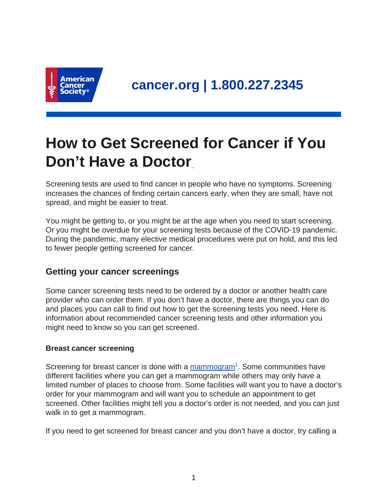

# **How to Get Screened for Cancer if You Don't Have a Doctor**

Screening tests are used to find cancer in people who have no symptoms. Screening increases the chances of finding certain cancers early, when they are small, have not spread, and might be easier to treat.

You might be getting to, or you might be at the age when you need to start screening. Or you might be overdue for your screening tests because of the COVID-19 pandemic. During the pandemic, many elective medical procedures were put on hold, and this led to fewer people getting screened for cancer.

# **Getting your cancer screenings**

Some cancer screening tests need to be ordered by a doctor or another health care provider who can order them. If you don't have a doctor, there are things you can do and places you can call to find out how to get the screening tests you need. Here is information about recommended cancer screening tests and other information you might need to know so you can get screened.

# **Breast cancer screening**

Screening for breast cancer is done with a [mammogram](https://www.cancer.org/cancer/breast-cancer/screening-tests-and-early-detection/mammograms.html)<sup>1</sup>. Some communities have different facilities where you can get a mammogram while others may only have a limited number of places to choose from. Some facilities will want you to have a doctor's order for your mammogram and will want you to schedule an appointment to get screened. Other facilities might tell you a doctor's order is not needed, and you can just walk in to get a mammogram.

If you need to get screened for breast cancer and you don't have a doctor, try calling a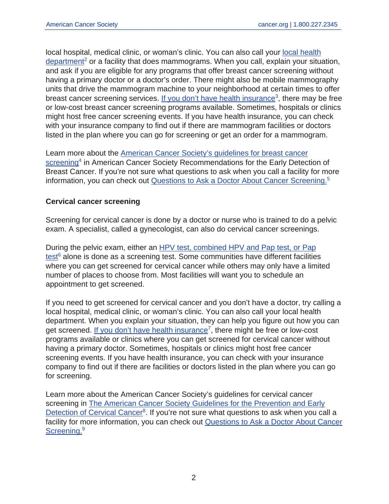local hospital, medical clinic, or woman's clinic. You can also call your [local health](https://www.usa.gov/state-health)  $department<sup>2</sup>$  $department<sup>2</sup>$  or a facility that does mammograms. When you call, explain your situation, and ask if you are eligible for any programs that offer breast cancer screening without having a primary doctor or a doctor's order. There might also be mobile mammography units that drive the mammogram machine to your neighborhood at certain times to offer breast cancer screening services. [If you don't have health insurance](https://www.cancer.org/healthy/find-cancer-early/cancer-screening-costs-insurance-coverage.html)<sup>3</sup>, there may be free or low-cost breast cancer screening programs available. Sometimes, hospitals or clinics might host free cancer screening events. If you have health insurance, you can check with your insurance company to find out if there are mammogram facilities or doctors listed in the plan where you can go for screening or get an order for a mammogram.

Learn more about the [American Cancer Society's guidelines for breast cancer](https://www.cancer.org/cancer/breast-cancer/screening-tests-and-early-detection/american-cancer-society-recommendations-for-the-early-detection-of-breast-cancer.html) [screening](https://www.cancer.org/cancer/breast-cancer/screening-tests-and-early-detection/american-cancer-society-recommendations-for-the-early-detection-of-breast-cancer.html)<sup>4</sup> in American Cancer Society Recommendations for the Early Detection of Breast Cancer. If you're not sure what questions to ask when you call a facility for more information, you can check out [Questions to Ask a Doctor About Cancer Screening.](https://www.cancer.org/healthy/find-cancer-early/questions-to-ask-your-doctor-about-cancer-screening.html)<sup>5</sup>

#### **Cervical cancer screening**

Screening for cervical cancer is done by a doctor or nurse who is trained to do a pelvic exam. A specialist, called a gynecologist, can also do cervical cancer screenings.

During the pelvic exam, either an [HPV test, combined HPV and Pap test, or Pap](https://www.cancer.org/cancer/cervical-cancer/detection-diagnosis-staging/screening-tests.html) [test](https://www.cancer.org/cancer/cervical-cancer/detection-diagnosis-staging/screening-tests.html)<sup>6</sup> alone is done as a screening test. Some communities have different facilities where you can get screened for cervical cancer while others may only have a limited number of places to choose from. Most facilities will want you to schedule an appointment to get screened.

If you need to get screened for cervical cancer and you don't have a doctor, try calling a local hospital, medical clinic, or woman's clinic. You can also call your local health department. When you explain your situation, they can help you figure out how you can get screened. [If you don't have health insurance](https://www.cancer.org/healthy/find-cancer-early/cancer-screening-costs-insurance-coverage.html)<sup>7</sup>, there might be free or low-cost programs available or clinics where you can get screened for cervical cancer without having a primary doctor. Sometimes, hospitals or clinics might host free cancer screening events. If you have health insurance, you can check with your insurance company to find out if there are facilities or doctors listed in the plan where you can go for screening.

Learn more about the American Cancer Society's guidelines for cervical cancer screening in [The American Cancer Society Guidelines for the Prevention and Early](https://www.cancer.org/cancer/cervical-cancer/detection-diagnosis-staging/cervical-cancer-screening-guidelines.html) [Detection of Cervical Cancer](https://www.cancer.org/cancer/cervical-cancer/detection-diagnosis-staging/cervical-cancer-screening-guidelines.html)<sup>8</sup>. If you're not sure what questions to ask when you call a facility for more information, you can check out [Questions to Ask a Doctor About Cancer](https://www.cancer.org/healthy/find-cancer-early/questions-to-ask-your-doctor-about-cancer-screening.html) [Screening.](https://www.cancer.org/healthy/find-cancer-early/questions-to-ask-your-doctor-about-cancer-screening.html)<sup>9</sup>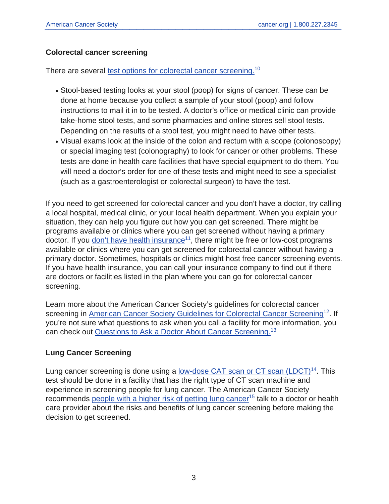# **Colorectal cancer screening**

There are several [test options for colorectal cancer screening.](https://www.cancer.org/cancer/colon-rectal-cancer/detection-diagnosis-staging/screening-tests-used.html)<sup>10</sup>

- Stool-based testing looks at your stool (poop) for signs of cancer. These can be done at home because you collect a sample of your stool (poop) and follow instructions to mail it in to be tested. A doctor's office or medical clinic can provide take-home stool tests, and some pharmacies and online stores sell stool tests. Depending on the results of a stool test, you might need to have other tests.
- Visual exams look at the inside of the colon and rectum with a scope (colonoscopy) or special imaging test (colonography) to look for cancer or other problems. These tests are done in health care facilities that have special equipment to do them. You will need a doctor's order for one of these tests and might need to see a specialist (such as a gastroenterologist or colorectal surgeon) to have the test.

If you need to get screened for colorectal cancer and you don't have a doctor, try calling a local hospital, medical clinic, or your local health department. When you explain your situation, they can help you figure out how you can get screened. There might be programs available or clinics where you can get screened without having a primary doctor. If you [don't have health insurance](https://www.cancer.org/healthy/find-cancer-early/cancer-screening-costs-insurance-coverage.html)<sup>11</sup>, there might be free or low-cost programs available or clinics where you can get screened for colorectal cancer without having a primary doctor. Sometimes, hospitals or clinics might host free cancer screening events. If you have health insurance, you can call your insurance company to find out if there are doctors or facilities listed in the plan where you can go for colorectal cancer screening.

Learn more about the American Cancer Society's guidelines for colorectal cancer screening in [American Cancer Society Guidelines for Colorectal Cancer Screening](https://www.cancer.org/cancer/colon-rectal-cancer/detection-diagnosis-staging/acs-recommendations.html)<sup>12</sup>. If you're not sure what questions to ask when you call a facility for more information, you can check out [Questions to Ask a Doctor About Cancer Screening.](https://www.cancer.org/healthy/find-cancer-early/questions-to-ask-your-doctor-about-cancer-screening.html)<sup>13</sup>

# **Lung Cancer Screening**

Lung cancer screening is done using a low-dose CAT scan or  $CT$  scan (LDCT)<sup>14</sup>. This test should be done in a facility that has the right type of CT scan machine and experience in screening people for lung cancer. The American Cancer Society recommends [people with a higher risk of getting lung cancer](https://www.cancer.org/cancer/lung-cancer/detection-diagnosis-staging/detection.html)<sup>15</sup> talk to a doctor or health care provider about the risks and benefits of lung cancer screening before making the decision to get screened.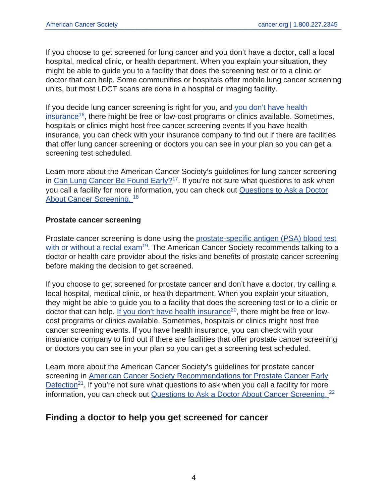If you choose to get screened for lung cancer and you don't have a doctor, call a local hospital, medical clinic, or health department. When you explain your situation, they might be able to guide you to a facility that does the screening test or to a clinic or doctor that can help. Some communities or hospitals offer mobile lung cancer screening units, but most LDCT scans are done in a hospital or imaging facility.

If you decide lung cancer screening is right for you, and [you don't have health](https://www.cancer.org/healthy/find-cancer-early/cancer-screening-costs-insurance-coverage.html) [insurance](https://www.cancer.org/healthy/find-cancer-early/cancer-screening-costs-insurance-coverage.html)<sup>16</sup>, there might be free or low-cost programs or clinics available. Sometimes, hospitals or clinics might host free cancer screening events If you have health insurance, you can check with your insurance company to find out if there are facilities that offer lung cancer screening or doctors you can see in your plan so you can get a screening test scheduled.

Learn more about the American Cancer Society's guidelines for lung cancer screening in [Can Lung Cancer Be Found Early?](https://www.cancer.org/cancer/lung-cancer/detection-diagnosis-staging/detection.html)<sup>17</sup>. If you're not sure what questions to ask when you call a facility for more information, you can check out [Questions to Ask a Doctor](https://www.cancer.org/healthy/find-cancer-early/questions-to-ask-your-doctor-about-cancer-screening.html) [About Cancer Screening.](https://www.cancer.org/healthy/find-cancer-early/questions-to-ask-your-doctor-about-cancer-screening.html) <sup>18</sup>

#### **Prostate cancer screening**

Prostate cancer screening is done using the [prostate-specific antigen \(PSA\) blood test](https://www.cancer.org/cancer/prostate-cancer/detection-diagnosis-staging/tests.html) [with or without a rectal exam](https://www.cancer.org/cancer/prostate-cancer/detection-diagnosis-staging/tests.html)<sup>19</sup>. The American Cancer Society recommends talking to a doctor or health care provider about the risks and benefits of prostate cancer screening before making the decision to get screened.

If you choose to get screened for prostate cancer and don't have a doctor, try calling a local hospital, medical clinic, or health department. When you explain your situation, they might be able to guide you to a facility that does the screening test or to a clinic or doctor that can help. [If you don't have health insurance](https://www.cancer.org/healthy/find-cancer-early/cancer-screening-costs-insurance-coverage.html)<sup>20</sup>, there might be free or lowcost programs or clinics available. Sometimes, hospitals or clinics might host free cancer screening events. If you have health insurance, you can check with your insurance company to find out if there are facilities that offer prostate cancer screening or doctors you can see in your plan so you can get a screening test scheduled.

Learn more about the American Cancer Society's guidelines for prostate cancer screening in [American Cancer Society Recommendations for Prostate Cancer Early](https://www.cancer.org/cancer/prostate-cancer/detection-diagnosis-staging/acs-recommendations.html) [Detection](https://www.cancer.org/cancer/prostate-cancer/detection-diagnosis-staging/acs-recommendations.html)<sup>21</sup>. If you're not sure what questions to ask when you call a facility for more information, you can check out [Questions to Ask a Doctor About Cancer Screening.](https://www.cancer.org/healthy/find-cancer-early/questions-to-ask-your-doctor-about-cancer-screening.html) <sup>22</sup>

# **Finding a doctor to help you get screened for cancer**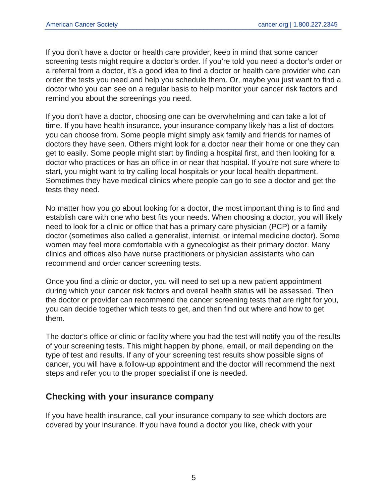If you don't have a doctor or health care provider, keep in mind that some cancer screening tests might require a doctor's order. If you're told you need a doctor's order or a referral from a doctor, it's a good idea to find a doctor or health care provider who can order the tests you need and help you schedule them. Or, maybe you just want to find a doctor who you can see on a regular basis to help monitor your cancer risk factors and remind you about the screenings you need.

If you don't have a doctor, choosing one can be overwhelming and can take a lot of time. If you have health insurance, your insurance company likely has a list of doctors you can choose from. Some people might simply ask family and friends for names of doctors they have seen. Others might look for a doctor near their home or one they can get to easily. Some people might start by finding a hospital first, and then looking for a doctor who practices or has an office in or near that hospital. If you're not sure where to start, you might want to try calling local hospitals or your local health department. Sometimes they have medical clinics where people can go to see a doctor and get the tests they need.

No matter how you go about looking for a doctor, the most important thing is to find and establish care with one who best fits your needs. When choosing a doctor, you will likely need to look for a clinic or office that has a primary care physician (PCP) or a family doctor (sometimes also called a generalist, internist, or internal medicine doctor). Some women may feel more comfortable with a gynecologist as their primary doctor. Many clinics and offices also have nurse practitioners or physician assistants who can recommend and order cancer screening tests.

Once you find a clinic or doctor, you will need to set up a new patient appointment during which your cancer risk factors and overall health status will be assessed. Then the doctor or provider can recommend the cancer screening tests that are right for you, you can decide together which tests to get, and then find out where and how to get them.

The doctor's office or clinic or facility where you had the test will notify you of the results of your screening tests. This might happen by phone, email, or mail depending on the type of test and results. If any of your screening test results show possible signs of cancer, you will have a follow-up appointment and the doctor will recommend the next steps and refer you to the proper specialist if one is needed.

# **Checking with your insurance company**

If you have health insurance, call your insurance company to see which doctors are covered by your insurance. If you have found a doctor you like, check with your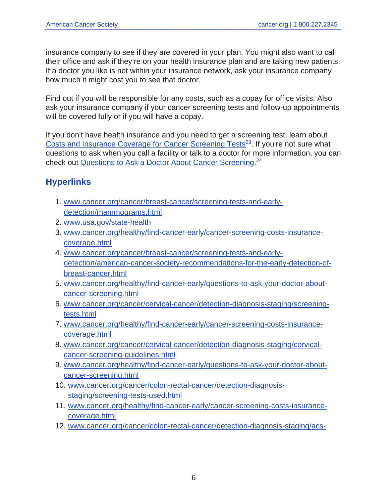insurance company to see if they are covered in your plan. You might also want to call their office and ask if they're on your health insurance plan and are taking new patients. If a doctor you like is not within your insurance network, ask your insurance company how much it might cost you to see that doctor.

Find out if you will be responsible for any costs, such as a copay for office visits. Also ask your insurance company if your cancer screening tests and follow-up appointments will be covered fully or if you will have a copay.

If you don't have health insurance and you need to get a screening test, learn about [Costs and Insurance Coverage for Cancer Screening Tests](https://www.cancer.org/healthy/find-cancer-early/cancer-screening-costs-insurance-coverage.html)<sup>23</sup>. If you're not sure what questions to ask when you call a facility or talk to a doctor for more information, you can check out [Questions to Ask a Doctor About Cancer Screening.](https://www.cancer.org/healthy/find-cancer-early/questions-to-ask-your-doctor-about-cancer-screening.html)<sup>24</sup>

# **Hyperlinks**

- 1. [www.cancer.org/cancer/breast-cancer/screening-tests-and-early](https://www.cancer.org/cancer/breast-cancer/screening-tests-and-early-detection/mammograms.html)[detection/mammograms.html](https://www.cancer.org/cancer/breast-cancer/screening-tests-and-early-detection/mammograms.html)
- 2. [www.usa.gov/state-health](https://www.usa.gov/state-health)
- 3. [www.cancer.org/healthy/find-cancer-early/cancer-screening-costs-insurance](https://www.cancer.org/healthy/find-cancer-early/cancer-screening-costs-insurance-coverage.html)[coverage.html](https://www.cancer.org/healthy/find-cancer-early/cancer-screening-costs-insurance-coverage.html)
- 4. [www.cancer.org/cancer/breast-cancer/screening-tests-and-early](https://www.cancer.org/cancer/breast-cancer/screening-tests-and-early-detection/american-cancer-society-recommendations-for-the-early-detection-of-breast-cancer.html)[detection/american-cancer-society-recommendations-for-the-early-detection-of](https://www.cancer.org/cancer/breast-cancer/screening-tests-and-early-detection/american-cancer-society-recommendations-for-the-early-detection-of-breast-cancer.html)[breast-cancer.html](https://www.cancer.org/cancer/breast-cancer/screening-tests-and-early-detection/american-cancer-society-recommendations-for-the-early-detection-of-breast-cancer.html)
- 5. [www.cancer.org/healthy/find-cancer-early/questions-to-ask-your-doctor-about](https://www.cancer.org/healthy/find-cancer-early/questions-to-ask-your-doctor-about-cancer-screening.html)[cancer-screening.html](https://www.cancer.org/healthy/find-cancer-early/questions-to-ask-your-doctor-about-cancer-screening.html)
- 6. [www.cancer.org/cancer/cervical-cancer/detection-diagnosis-staging/screening](https://www.cancer.org/cancer/cervical-cancer/detection-diagnosis-staging/screening-tests.html)[tests.html](https://www.cancer.org/cancer/cervical-cancer/detection-diagnosis-staging/screening-tests.html)
- 7. [www.cancer.org/healthy/find-cancer-early/cancer-screening-costs-insurance](https://www.cancer.org/healthy/find-cancer-early/cancer-screening-costs-insurance-coverage.html)[coverage.html](https://www.cancer.org/healthy/find-cancer-early/cancer-screening-costs-insurance-coverage.html)
- 8. [www.cancer.org/cancer/cervical-cancer/detection-diagnosis-staging/cervical](https://www.cancer.org/cancer/cervical-cancer/detection-diagnosis-staging/cervical-cancer-screening-guidelines.html)[cancer-screening-guidelines.html](https://www.cancer.org/cancer/cervical-cancer/detection-diagnosis-staging/cervical-cancer-screening-guidelines.html)
- 9. [www.cancer.org/healthy/find-cancer-early/questions-to-ask-your-doctor-about](https://www.cancer.org/healthy/find-cancer-early/questions-to-ask-your-doctor-about-cancer-screening.html)[cancer-screening.html](https://www.cancer.org/healthy/find-cancer-early/questions-to-ask-your-doctor-about-cancer-screening.html)
- 10. [www.cancer.org/cancer/colon-rectal-cancer/detection-diagnosis](https://www.cancer.org/cancer/colon-rectal-cancer/detection-diagnosis-staging/screening-tests-used.html)[staging/screening-tests-used.html](https://www.cancer.org/cancer/colon-rectal-cancer/detection-diagnosis-staging/screening-tests-used.html)
- 11. [www.cancer.org/healthy/find-cancer-early/cancer-screening-costs-insurance](https://www.cancer.org/healthy/find-cancer-early/cancer-screening-costs-insurance-coverage.html)[coverage.html](https://www.cancer.org/healthy/find-cancer-early/cancer-screening-costs-insurance-coverage.html)
- 12. [www.cancer.org/cancer/colon-rectal-cancer/detection-diagnosis-staging/acs-](https://www.cancer.org/cancer/colon-rectal-cancer/detection-diagnosis-staging/acs-recommendations.html)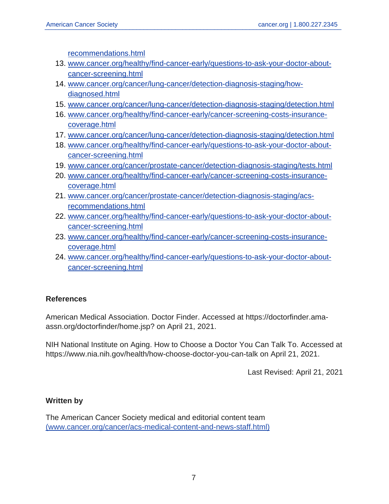[recommendations.html](https://www.cancer.org/cancer/colon-rectal-cancer/detection-diagnosis-staging/acs-recommendations.html)

- 13. [www.cancer.org/healthy/find-cancer-early/questions-to-ask-your-doctor-about](https://www.cancer.org/healthy/find-cancer-early/questions-to-ask-your-doctor-about-cancer-screening.html)[cancer-screening.html](https://www.cancer.org/healthy/find-cancer-early/questions-to-ask-your-doctor-about-cancer-screening.html)
- 14. [www.cancer.org/cancer/lung-cancer/detection-diagnosis-staging/how](https://www.cancer.org/cancer/lung-cancer/detection-diagnosis-staging/how-diagnosed.html)[diagnosed.html](https://www.cancer.org/cancer/lung-cancer/detection-diagnosis-staging/how-diagnosed.html)
- 15. [www.cancer.org/cancer/lung-cancer/detection-diagnosis-staging/detection.html](https://www.cancer.org/cancer/lung-cancer/detection-diagnosis-staging/detection.html)
- 16. [www.cancer.org/healthy/find-cancer-early/cancer-screening-costs-insurance](https://www.cancer.org/healthy/find-cancer-early/cancer-screening-costs-insurance-coverage.html)[coverage.html](https://www.cancer.org/healthy/find-cancer-early/cancer-screening-costs-insurance-coverage.html)
- 17. [www.cancer.org/cancer/lung-cancer/detection-diagnosis-staging/detection.html](https://www.cancer.org/cancer/lung-cancer/detection-diagnosis-staging/detection.html)
- 18. [www.cancer.org/healthy/find-cancer-early/questions-to-ask-your-doctor-about](https://www.cancer.org/healthy/find-cancer-early/questions-to-ask-your-doctor-about-cancer-screening.html)[cancer-screening.html](https://www.cancer.org/healthy/find-cancer-early/questions-to-ask-your-doctor-about-cancer-screening.html)
- 19. [www.cancer.org/cancer/prostate-cancer/detection-diagnosis-staging/tests.html](https://www.cancer.org/cancer/prostate-cancer/detection-diagnosis-staging/tests.html)
- 20. [www.cancer.org/healthy/find-cancer-early/cancer-screening-costs-insurance](https://www.cancer.org/healthy/find-cancer-early/cancer-screening-costs-insurance-coverage.html)[coverage.html](https://www.cancer.org/healthy/find-cancer-early/cancer-screening-costs-insurance-coverage.html)
- 21. [www.cancer.org/cancer/prostate-cancer/detection-diagnosis-staging/acs](https://www.cancer.org/cancer/prostate-cancer/detection-diagnosis-staging/acs-recommendations.html)[recommendations.html](https://www.cancer.org/cancer/prostate-cancer/detection-diagnosis-staging/acs-recommendations.html)
- 22. [www.cancer.org/healthy/find-cancer-early/questions-to-ask-your-doctor-about](https://www.cancer.org/healthy/find-cancer-early/questions-to-ask-your-doctor-about-cancer-screening.html)[cancer-screening.html](https://www.cancer.org/healthy/find-cancer-early/questions-to-ask-your-doctor-about-cancer-screening.html)
- 23. [www.cancer.org/healthy/find-cancer-early/cancer-screening-costs-insurance](https://www.cancer.org/healthy/find-cancer-early/cancer-screening-costs-insurance-coverage.html)[coverage.html](https://www.cancer.org/healthy/find-cancer-early/cancer-screening-costs-insurance-coverage.html)
- 24. [www.cancer.org/healthy/find-cancer-early/questions-to-ask-your-doctor-about](https://www.cancer.org/healthy/find-cancer-early/questions-to-ask-your-doctor-about-cancer-screening.html)[cancer-screening.html](https://www.cancer.org/healthy/find-cancer-early/questions-to-ask-your-doctor-about-cancer-screening.html)

# **References**

American Medical Association. Doctor Finder. Accessed at https://doctorfinder.amaassn.org/doctorfinder/home.jsp? on April 21, 2021.

NIH National Institute on Aging. How to Choose a Doctor You Can Talk To. Accessed at https://www.nia.nih.gov/health/how-choose-doctor-you-can-talk on April 21, 2021.

Last Revised: April 21, 2021

# **Written by**

The American Cancer Society medical and editorial content team [\(www.cancer.org/cancer/acs-medical-content-and-news-staff.html\)](https://www.cancer.org/cancer/acs-medical-content-and-news-staff.html)